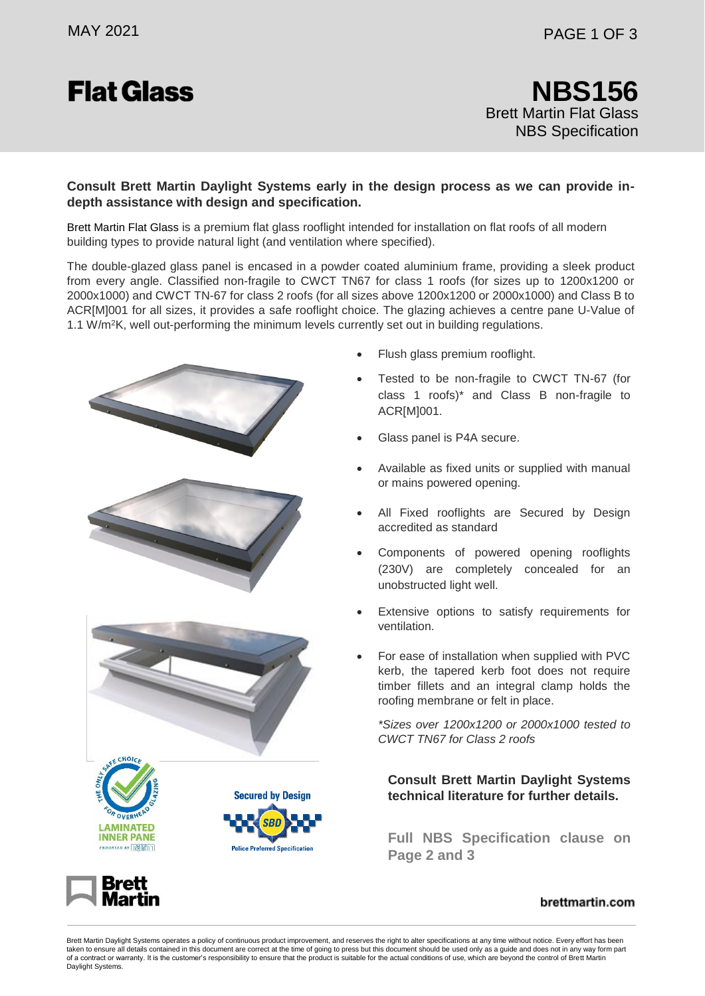# **Flat Glass**

#### **Consult Brett Martin Daylight Systems early in the design process as we can provide indepth assistance with design and specification.**

Brett Martin Flat Glass is a premium flat glass rooflight intended for installation on flat roofs of all modern building types to provide natural light (and ventilation where specified).

The double-glazed glass panel is encased in a powder coated aluminium frame, providing a sleek product from every angle. Classified non-fragile to CWCT TN67 for class 1 roofs (for sizes up to 1200x1200 or 2000x1000) and CWCT TN-67 for class 2 roofs (for all sizes above 1200x1200 or 2000x1000) and Class B to ACR[M]001 for all sizes, it provides a safe rooflight choice. The glazing achieves a centre pane U-Value of 1.1 W/m<sup>2</sup>K, well out-performing the minimum levels currently set out in building regulations.



- Flush glass premium rooflight.
- Tested to be non-fragile to CWCT TN-67 (for class 1 roofs)\* and Class B non-fragile to ACR[M]001.
- Glass panel is P4A secure.
- Available as fixed units or supplied with manual or mains powered opening.
- All Fixed rooflights are Secured by Design accredited as standard
- Components of powered opening rooflights (230V) are completely concealed for an unobstructed light well.
- Extensive options to satisfy requirements for ventilation.
- For ease of installation when supplied with PVC kerb, the tapered kerb foot does not require timber fillets and an integral clamp holds the roofing membrane or felt in place.

*\*Sizes over 1200x1200 or 2000x1000 tested to CWCT TN67 for Class 2 roofs*

**Consult Brett Martin Daylight Systems technical literature for further details.**

**Full NBS Specification clause on Page 2 and 3**



#### brettmartin.com

Brett Martin Daylight Systems operates a policy of continuous product improvement, and reserves the right to alter specifications at any time without notice. Every effort has been taken to ensure all details contained in this document are correct at the time of going to press but this document should be used only as a guide and does not in any way form part of a contract or warranty. It is the customer's responsibility to ensure that the product is suitable for the actual conditions of use, which are beyond the control of Brett Martin Daylight Systems.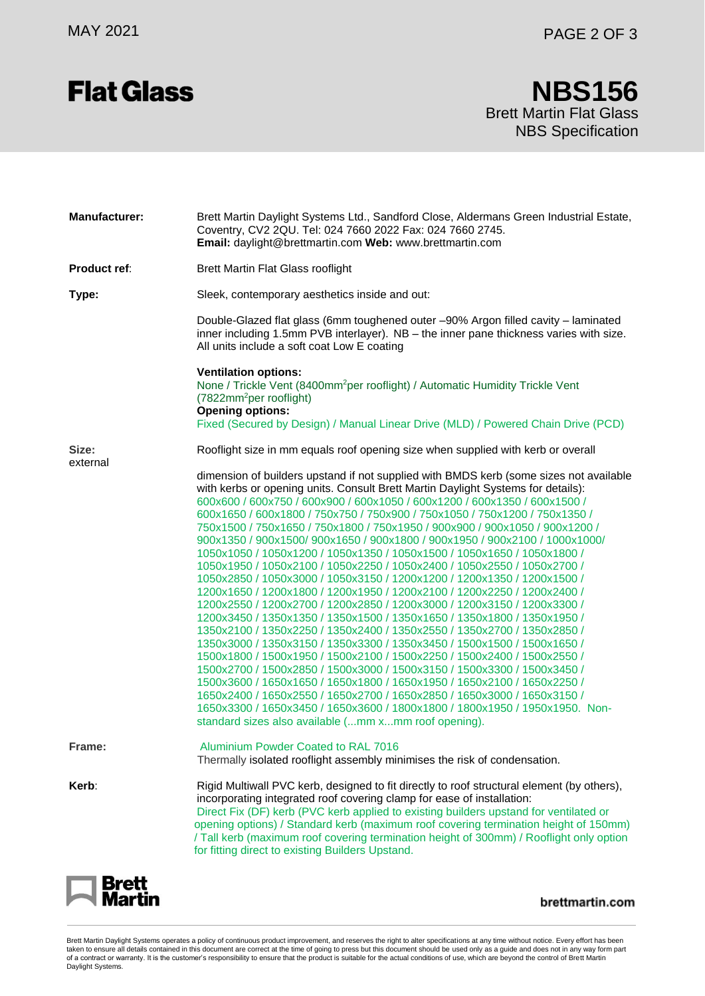# **Flat Glass**

### Brett Martin Flat Glass NBS Specification **NBS156**

| <b>Manufacturer:</b> | Brett Martin Daylight Systems Ltd., Sandford Close, Aldermans Green Industrial Estate,<br>Coventry, CV2 2QU. Tel: 024 7660 2022 Fax: 024 7660 2745.<br>Email: daylight@brettmartin.com Web: www.brettmartin.com                                                                                                                                                                                                                                                                                                                                                                                                                                                                                                                                                                                                                                                                                                                                                                                                                                                                                                                                                                                                                                                                                                                                                                                                                                                                                                                                                                |
|----------------------|--------------------------------------------------------------------------------------------------------------------------------------------------------------------------------------------------------------------------------------------------------------------------------------------------------------------------------------------------------------------------------------------------------------------------------------------------------------------------------------------------------------------------------------------------------------------------------------------------------------------------------------------------------------------------------------------------------------------------------------------------------------------------------------------------------------------------------------------------------------------------------------------------------------------------------------------------------------------------------------------------------------------------------------------------------------------------------------------------------------------------------------------------------------------------------------------------------------------------------------------------------------------------------------------------------------------------------------------------------------------------------------------------------------------------------------------------------------------------------------------------------------------------------------------------------------------------------|
| <b>Product ref:</b>  | Brett Martin Flat Glass rooflight                                                                                                                                                                                                                                                                                                                                                                                                                                                                                                                                                                                                                                                                                                                                                                                                                                                                                                                                                                                                                                                                                                                                                                                                                                                                                                                                                                                                                                                                                                                                              |
| Type:                | Sleek, contemporary aesthetics inside and out:                                                                                                                                                                                                                                                                                                                                                                                                                                                                                                                                                                                                                                                                                                                                                                                                                                                                                                                                                                                                                                                                                                                                                                                                                                                                                                                                                                                                                                                                                                                                 |
|                      | Double-Glazed flat glass (6mm toughened outer -90% Argon filled cavity - laminated<br>inner including 1.5mm PVB interlayer). NB - the inner pane thickness varies with size.<br>All units include a soft coat Low E coating                                                                                                                                                                                                                                                                                                                                                                                                                                                                                                                                                                                                                                                                                                                                                                                                                                                                                                                                                                                                                                                                                                                                                                                                                                                                                                                                                    |
|                      | <b>Ventilation options:</b><br>None / Trickle Vent (8400mm <sup>2</sup> per rooflight) / Automatic Humidity Trickle Vent<br>(7822mm <sup>2</sup> per rooflight)<br><b>Opening options:</b><br>Fixed (Secured by Design) / Manual Linear Drive (MLD) / Powered Chain Drive (PCD)                                                                                                                                                                                                                                                                                                                                                                                                                                                                                                                                                                                                                                                                                                                                                                                                                                                                                                                                                                                                                                                                                                                                                                                                                                                                                                |
| Size:<br>external    | Rooflight size in mm equals roof opening size when supplied with kerb or overall                                                                                                                                                                                                                                                                                                                                                                                                                                                                                                                                                                                                                                                                                                                                                                                                                                                                                                                                                                                                                                                                                                                                                                                                                                                                                                                                                                                                                                                                                               |
|                      | dimension of builders upstand if not supplied with BMDS kerb (some sizes not available<br>with kerbs or opening units. Consult Brett Martin Daylight Systems for details):<br>600x600 / 600x750 / 600x900 / 600x1050 / 600x1200 / 600x1350 / 600x1500 /<br>600x1650 / 600x1800 / 750x750 / 750x900 / 750x1050 / 750x1200 / 750x1350 /<br>750x1500 / 750x1650 / 750x1800 / 750x1950 / 900x900 / 900x1050 / 900x1200 /<br>900x1350 / 900x1500/ 900x1650 / 900x1800 / 900x1950 / 900x2100 / 1000x1000/<br>1050x1050 / 1050x1200 / 1050x1350 / 1050x1500 / 1050x1650 / 1050x1800 /<br>1050x1950 / 1050x2100 / 1050x2250 / 1050x2400 / 1050x2550 / 1050x2700 /<br>1050x2850 / 1050x3000 / 1050x3150 / 1200x1200 / 1200x1350 / 1200x1500 /<br>1200x1650 / 1200x1800 / 1200x1950 / 1200x2100 / 1200x2250 / 1200x2400 /<br>1200x2550 / 1200x2700 / 1200x2850 / 1200x3000 / 1200x3150 / 1200x3300 /<br>1200x3450 / 1350x1350 / 1350x1500 / 1350x1650 / 1350x1800 / 1350x1950 /<br>1350x2100 / 1350x2250 / 1350x2400 / 1350x2550 / 1350x2700 / 1350x2850 /<br>1350x3000 / 1350x3150 / 1350x3300 / 1350x3450 / 1500x1500 / 1500x1650 /<br>1500x1800 / 1500x1950 / 1500x2100 / 1500x2250 / 1500x2400 / 1500x2550 /<br>1500x2700 / 1500x2850 / 1500x3000 / 1500x3150 / 1500x3300 / 1500x3450 /<br>1500x3600 / 1650x1650 / 1650x1800 / 1650x1950 / 1650x2100 / 1650x2250 /<br>1650x2400 / 1650x2550 / 1650x2700 / 1650x2850 / 1650x3000 / 1650x3150 /<br>1650x3300 / 1650x3450 / 1650x3600 / 1800x1800 / 1800x1950 / 1950x1950. Non-<br>standard sizes also available (mm xmm roof opening). |
| Frame:               | Aluminium Powder Coated to RAL 7016<br>Thermally isolated rooflight assembly minimises the risk of condensation.                                                                                                                                                                                                                                                                                                                                                                                                                                                                                                                                                                                                                                                                                                                                                                                                                                                                                                                                                                                                                                                                                                                                                                                                                                                                                                                                                                                                                                                               |
| Kerb:                | Rigid Multiwall PVC kerb, designed to fit directly to roof structural element (by others),<br>incorporating integrated roof covering clamp for ease of installation:<br>Direct Fix (DF) kerb (PVC kerb applied to existing builders upstand for ventilated or<br>opening options) / Standard kerb (maximum roof covering termination height of 150mm)<br>/ Tall kerb (maximum roof covering termination height of 300mm) / Rooflight only option<br>for fitting direct to existing Builders Upstand.                                                                                                                                                                                                                                                                                                                                                                                                                                                                                                                                                                                                                                                                                                                                                                                                                                                                                                                                                                                                                                                                           |



brettmartin.com

Brett Martin Daylight Systems operates a policy of continuous product improvement, and reserves the right to alter specifications at any time without notice. Every effort has been taken to ensure all details contained in this document are correct at the time of going to press but this document should be used only as a guide and does not in any way form part of a contract or warranty. It is the customer's responsibility to ensure that the product is suitable for the actual conditions of use, which are beyond the control of Brett Martin<br>Daylight Systems.